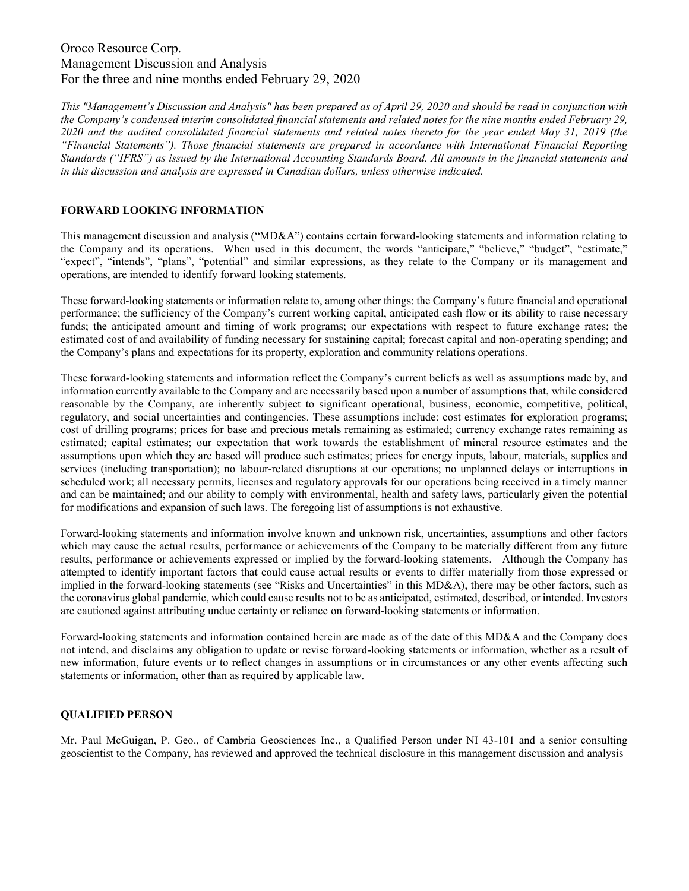# Oroco Resource Corp. Management Discussion and Analysis For the three and nine months ended February 29, 2020

This "Management's Discussion and Analysis" has been prepared as of April 29, 2020 and should be read in conjunction with the Company's condensed interim consolidated financial statements and related notes for the nine months ended February 29, 2020 and the audited consolidated financial statements and related notes thereto for the year ended May 31, 2019 (the "Financial Statements"). Those financial statements are prepared in accordance with International Financial Reporting Standards ("IFRS") as issued by the International Accounting Standards Board. All amounts in the financial statements and in this discussion and analysis are expressed in Canadian dollars, unless otherwise indicated.

# FORWARD LOOKING INFORMATION

This management discussion and analysis ("MD&A") contains certain forward-looking statements and information relating to the Company and its operations. When used in this document, the words "anticipate," "believe," "budget", "estimate," "expect", "intends", "plans", "potential" and similar expressions, as they relate to the Company or its management and operations, are intended to identify forward looking statements.

These forward-looking statements or information relate to, among other things: the Company's future financial and operational performance; the sufficiency of the Company's current working capital, anticipated cash flow or its ability to raise necessary funds; the anticipated amount and timing of work programs; our expectations with respect to future exchange rates; the estimated cost of and availability of funding necessary for sustaining capital; forecast capital and non-operating spending; and the Company's plans and expectations for its property, exploration and community relations operations.

These forward-looking statements and information reflect the Company's current beliefs as well as assumptions made by, and information currently available to the Company and are necessarily based upon a number of assumptions that, while considered reasonable by the Company, are inherently subject to significant operational, business, economic, competitive, political, regulatory, and social uncertainties and contingencies. These assumptions include: cost estimates for exploration programs; cost of drilling programs; prices for base and precious metals remaining as estimated; currency exchange rates remaining as estimated; capital estimates; our expectation that work towards the establishment of mineral resource estimates and the assumptions upon which they are based will produce such estimates; prices for energy inputs, labour, materials, supplies and services (including transportation); no labour-related disruptions at our operations; no unplanned delays or interruptions in scheduled work; all necessary permits, licenses and regulatory approvals for our operations being received in a timely manner and can be maintained; and our ability to comply with environmental, health and safety laws, particularly given the potential for modifications and expansion of such laws. The foregoing list of assumptions is not exhaustive.

Forward-looking statements and information involve known and unknown risk, uncertainties, assumptions and other factors which may cause the actual results, performance or achievements of the Company to be materially different from any future results, performance or achievements expressed or implied by the forward-looking statements. Although the Company has attempted to identify important factors that could cause actual results or events to differ materially from those expressed or implied in the forward-looking statements (see "Risks and Uncertainties" in this MD&A), there may be other factors, such as the coronavirus global pandemic, which could cause results not to be as anticipated, estimated, described, or intended. Investors are cautioned against attributing undue certainty or reliance on forward-looking statements or information.

Forward-looking statements and information contained herein are made as of the date of this MD&A and the Company does not intend, and disclaims any obligation to update or revise forward-looking statements or information, whether as a result of new information, future events or to reflect changes in assumptions or in circumstances or any other events affecting such statements or information, other than as required by applicable law.

# QUALIFIED PERSON

Mr. Paul McGuigan, P. Geo., of Cambria Geosciences Inc., a Qualified Person under NI 43-101 and a senior consulting geoscientist to the Company, has reviewed and approved the technical disclosure in this management discussion and analysis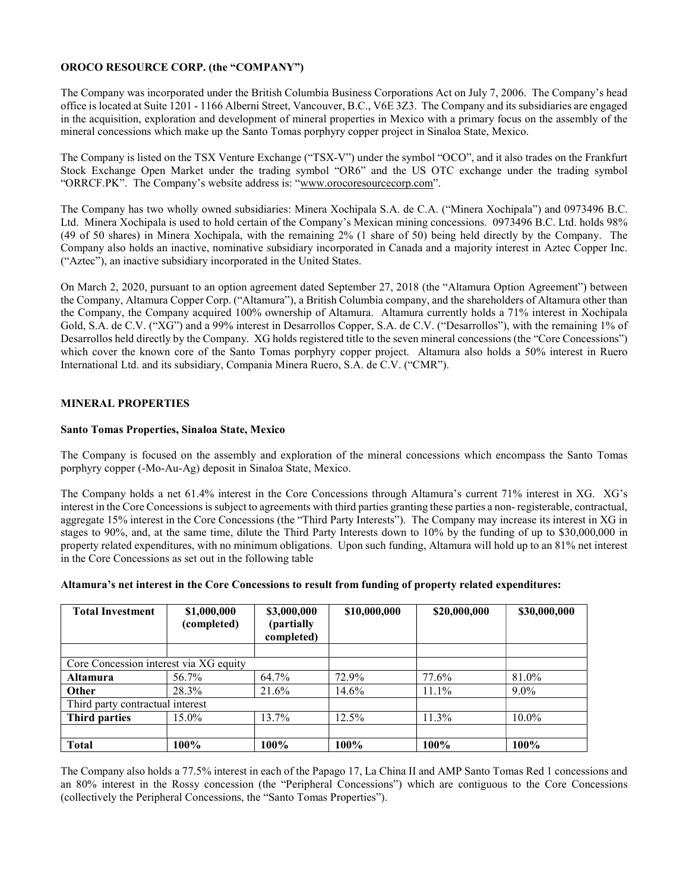# OROCO RESOURCE CORP. (the "COMPANY")

The Company was incorporated under the British Columbia Business Corporations Act on July 7, 2006. The Company's head office is located at Suite 1201 - 1166 Alberni Street, Vancouver, B.C., V6E 3Z3. The Company and its subsidiaries are engaged in the acquisition, exploration and development of mineral properties in Mexico with a primary focus on the assembly of the mineral concessions which make up the Santo Tomas porphyry copper project in Sinaloa State, Mexico.

The Company is listed on the TSX Venture Exchange ("TSX-V") under the symbol "OCO", and it also trades on the Frankfurt Stock Exchange Open Market under the trading symbol "OR6" and the US OTC exchange under the trading symbol "ORRCF.PK". The Company's website address is: "www.orocoresourcecorp.com".

The Company has two wholly owned subsidiaries: Minera Xochipala S.A. de C.A. ("Minera Xochipala") and 0973496 B.C. Ltd. Minera Xochipala is used to hold certain of the Company's Mexican mining concessions. 0973496 B.C. Ltd. holds 98% (49 of 50 shares) in Minera Xochipala, with the remaining 2% (1 share of 50) being held directly by the Company. The Company also holds an inactive, nominative subsidiary incorporated in Canada and a majority interest in Aztec Copper Inc. ("Aztec"), an inactive subsidiary incorporated in the United States.

On March 2, 2020, pursuant to an option agreement dated September 27, 2018 (the "Altamura Option Agreement") between the Company, Altamura Copper Corp. ("Altamura"), a British Columbia company, and the shareholders of Altamura other than the Company, the Company acquired 100% ownership of Altamura. Altamura currently holds a 71% interest in Xochipala Gold, S.A. de C.V. ("XG") and a 99% interest in Desarrollos Copper, S.A. de C.V. ("Desarrollos"), with the remaining 1% of Desarrollos held directly by the Company. XG holds registered title to the seven mineral concessions (the "Core Concessions") which cover the known core of the Santo Tomas porphyry copper project. Altamura also holds a 50% interest in Ruero International Ltd. and its subsidiary, Compania Minera Ruero, S.A. de C.V. ("CMR").

# MINERAL PROPERTIES

# Santo Tomas Properties, Sinaloa State, Mexico

The Company is focused on the assembly and exploration of the mineral concessions which encompass the Santo Tomas porphyry copper (-Mo-Au-Ag) deposit in Sinaloa State, Mexico.

The Company holds a net 61.4% interest in the Core Concessions through Altamura's current 71% interest in XG. XG's interest in the Core Concessions is subject to agreements with third parties granting these parties a non- registerable, contractual, aggregate 15% interest in the Core Concessions (the "Third Party Interests"). The Company may increase its interest in XG in stages to 90%, and, at the same time, dilute the Third Party Interests down to 10% by the funding of up to \$30,000,000 in property related expenditures, with no minimum obligations. Upon such funding, Altamura will hold up to an 81% net interest in the Core Concessions as set out in the following table

| <b>Total Investment</b>                | \$1,000,000<br>(completed) | \$3,000,000<br>(partially<br>completed) | \$10,000,000 | \$20,000,000 | \$30,000,000 |
|----------------------------------------|----------------------------|-----------------------------------------|--------------|--------------|--------------|
|                                        |                            |                                         |              |              |              |
| Core Concession interest via XG equity |                            |                                         |              |              |              |
| <b>Altamura</b>                        | 56.7%                      | 64.7%                                   | 72.9%        | 77.6%        | 81.0%        |
| Other                                  | 28.3%                      | 21.6%                                   | 14.6%        | 11.1%        | $9.0\%$      |
| Third party contractual interest       |                            |                                         |              |              |              |
| <b>Third parties</b>                   | 15.0%                      | 13.7%                                   | $12.5\%$     | $11.3\%$     | $10.0\%$     |
|                                        |                            |                                         |              |              |              |
| <b>Total</b>                           | $100\%$                    | 100%                                    | 100%         | $100\%$      | 100%         |

The Company also holds a 77.5% interest in each of the Papago 17, La China II and AMP Santo Tomas Red 1 concessions and an 80% interest in the Rossy concession (the "Peripheral Concessions") which are contiguous to the Core Concessions (collectively the Peripheral Concessions, the "Santo Tomas Properties").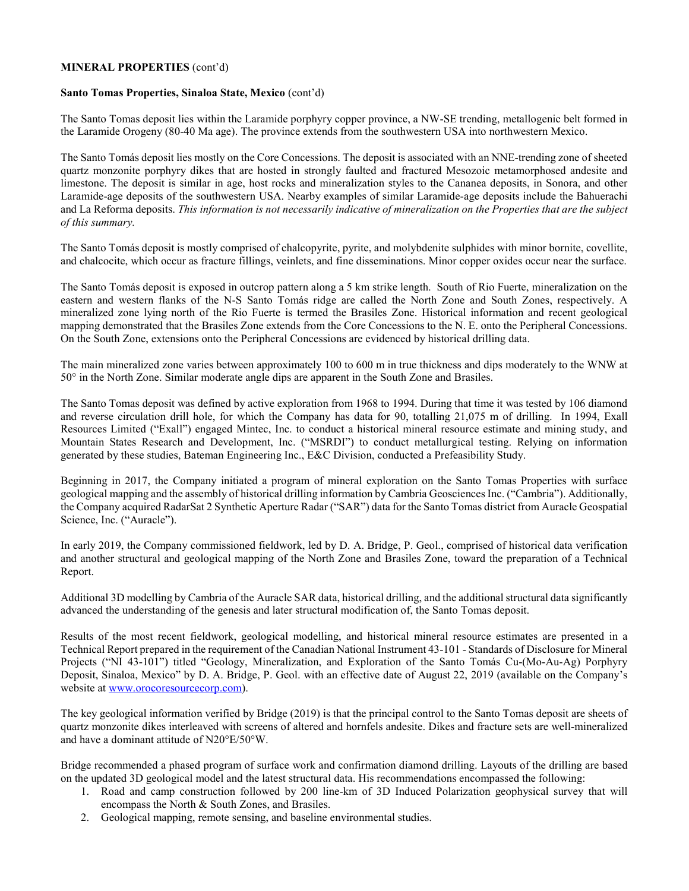### MINERAL PROPERTIES (cont'd)

#### Santo Tomas Properties, Sinaloa State, Mexico (cont'd)

The Santo Tomas deposit lies within the Laramide porphyry copper province, a NW-SE trending, metallogenic belt formed in the Laramide Orogeny (80-40 Ma age). The province extends from the southwestern USA into northwestern Mexico.

The Santo Tomás deposit lies mostly on the Core Concessions. The deposit is associated with an NNE-trending zone of sheeted quartz monzonite porphyry dikes that are hosted in strongly faulted and fractured Mesozoic metamorphosed andesite and limestone. The deposit is similar in age, host rocks and mineralization styles to the Cananea deposits, in Sonora, and other Laramide-age deposits of the southwestern USA. Nearby examples of similar Laramide-age deposits include the Bahuerachi and La Reforma deposits. This information is not necessarily indicative of mineralization on the Properties that are the subject of this summary.

The Santo Tomás deposit is mostly comprised of chalcopyrite, pyrite, and molybdenite sulphides with minor bornite, covellite, and chalcocite, which occur as fracture fillings, veinlets, and fine disseminations. Minor copper oxides occur near the surface.

The Santo Tomás deposit is exposed in outcrop pattern along a 5 km strike length. South of Rio Fuerte, mineralization on the eastern and western flanks of the N-S Santo Tomás ridge are called the North Zone and South Zones, respectively. A mineralized zone lying north of the Rio Fuerte is termed the Brasiles Zone. Historical information and recent geological mapping demonstrated that the Brasiles Zone extends from the Core Concessions to the N. E. onto the Peripheral Concessions. On the South Zone, extensions onto the Peripheral Concessions are evidenced by historical drilling data.

The main mineralized zone varies between approximately 100 to 600 m in true thickness and dips moderately to the WNW at 50° in the North Zone. Similar moderate angle dips are apparent in the South Zone and Brasiles.

The Santo Tomas deposit was defined by active exploration from 1968 to 1994. During that time it was tested by 106 diamond and reverse circulation drill hole, for which the Company has data for 90, totalling 21,075 m of drilling. In 1994, Exall Resources Limited ("Exall") engaged Mintec, Inc. to conduct a historical mineral resource estimate and mining study, and Mountain States Research and Development, Inc. ("MSRDI") to conduct metallurgical testing. Relying on information generated by these studies, Bateman Engineering Inc., E&C Division, conducted a Prefeasibility Study.

Beginning in 2017, the Company initiated a program of mineral exploration on the Santo Tomas Properties with surface geological mapping and the assembly of historical drilling information by Cambria Geosciences Inc. ("Cambria"). Additionally, the Company acquired RadarSat 2 Synthetic Aperture Radar ("SAR") data for the Santo Tomas district from Auracle Geospatial Science, Inc. ("Auracle").

In early 2019, the Company commissioned fieldwork, led by D. A. Bridge, P. Geol., comprised of historical data verification and another structural and geological mapping of the North Zone and Brasiles Zone, toward the preparation of a Technical Report.

Additional 3D modelling by Cambria of the Auracle SAR data, historical drilling, and the additional structural data significantly advanced the understanding of the genesis and later structural modification of, the Santo Tomas deposit.

Results of the most recent fieldwork, geological modelling, and historical mineral resource estimates are presented in a Technical Report prepared in the requirement of the Canadian National Instrument 43-101 - Standards of Disclosure for Mineral Projects ("NI 43-101") titled "Geology, Mineralization, and Exploration of the Santo Tomás Cu-(Mo-Au-Ag) Porphyry Deposit, Sinaloa, Mexico" by D. A. Bridge, P. Geol. with an effective date of August 22, 2019 (available on the Company's website at www.orocoresourcecorp.com).

The key geological information verified by Bridge (2019) is that the principal control to the Santo Tomas deposit are sheets of quartz monzonite dikes interleaved with screens of altered and hornfels andesite. Dikes and fracture sets are well-mineralized and have a dominant attitude of N20°E/50°W.

Bridge recommended a phased program of surface work and confirmation diamond drilling. Layouts of the drilling are based on the updated 3D geological model and the latest structural data. His recommendations encompassed the following:

- 1. Road and camp construction followed by 200 line-km of 3D Induced Polarization geophysical survey that will encompass the North & South Zones, and Brasiles.
- 2. Geological mapping, remote sensing, and baseline environmental studies.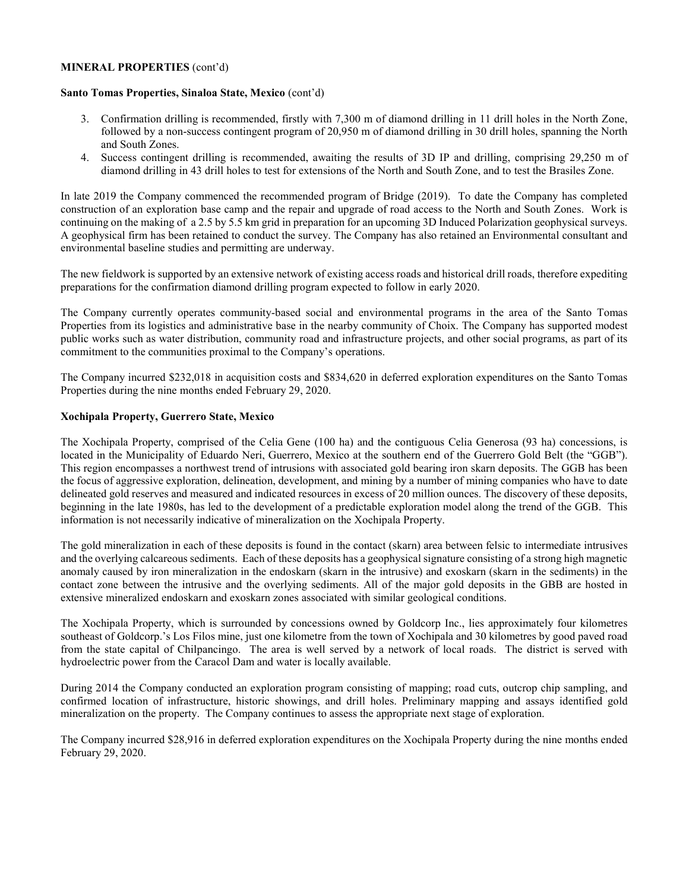#### MINERAL PROPERTIES (cont'd)

#### Santo Tomas Properties, Sinaloa State, Mexico (cont'd)

- 3. Confirmation drilling is recommended, firstly with 7,300 m of diamond drilling in 11 drill holes in the North Zone, followed by a non-success contingent program of 20,950 m of diamond drilling in 30 drill holes, spanning the North and South Zones.
- 4. Success contingent drilling is recommended, awaiting the results of 3D IP and drilling, comprising 29,250 m of diamond drilling in 43 drill holes to test for extensions of the North and South Zone, and to test the Brasiles Zone.

In late 2019 the Company commenced the recommended program of Bridge (2019). To date the Company has completed construction of an exploration base camp and the repair and upgrade of road access to the North and South Zones. Work is continuing on the making of a 2.5 by 5.5 km grid in preparation for an upcoming 3D Induced Polarization geophysical surveys. A geophysical firm has been retained to conduct the survey. The Company has also retained an Environmental consultant and environmental baseline studies and permitting are underway.

The new fieldwork is supported by an extensive network of existing access roads and historical drill roads, therefore expediting preparations for the confirmation diamond drilling program expected to follow in early 2020.

The Company currently operates community-based social and environmental programs in the area of the Santo Tomas Properties from its logistics and administrative base in the nearby community of Choix. The Company has supported modest public works such as water distribution, community road and infrastructure projects, and other social programs, as part of its commitment to the communities proximal to the Company's operations.

The Company incurred \$232,018 in acquisition costs and \$834,620 in deferred exploration expenditures on the Santo Tomas Properties during the nine months ended February 29, 2020.

#### Xochipala Property, Guerrero State, Mexico

The Xochipala Property, comprised of the Celia Gene (100 ha) and the contiguous Celia Generosa (93 ha) concessions, is located in the Municipality of Eduardo Neri, Guerrero, Mexico at the southern end of the Guerrero Gold Belt (the "GGB"). This region encompasses a northwest trend of intrusions with associated gold bearing iron skarn deposits. The GGB has been the focus of aggressive exploration, delineation, development, and mining by a number of mining companies who have to date delineated gold reserves and measured and indicated resources in excess of 20 million ounces. The discovery of these deposits, beginning in the late 1980s, has led to the development of a predictable exploration model along the trend of the GGB. This information is not necessarily indicative of mineralization on the Xochipala Property.

The gold mineralization in each of these deposits is found in the contact (skarn) area between felsic to intermediate intrusives and the overlying calcareous sediments. Each of these deposits has a geophysical signature consisting of a strong high magnetic anomaly caused by iron mineralization in the endoskarn (skarn in the intrusive) and exoskarn (skarn in the sediments) in the contact zone between the intrusive and the overlying sediments. All of the major gold deposits in the GBB are hosted in extensive mineralized endoskarn and exoskarn zones associated with similar geological conditions.

The Xochipala Property, which is surrounded by concessions owned by Goldcorp Inc., lies approximately four kilometres southeast of Goldcorp.'s Los Filos mine, just one kilometre from the town of Xochipala and 30 kilometres by good paved road from the state capital of Chilpancingo. The area is well served by a network of local roads. The district is served with hydroelectric power from the Caracol Dam and water is locally available.

During 2014 the Company conducted an exploration program consisting of mapping; road cuts, outcrop chip sampling, and confirmed location of infrastructure, historic showings, and drill holes. Preliminary mapping and assays identified gold mineralization on the property. The Company continues to assess the appropriate next stage of exploration.

The Company incurred \$28,916 in deferred exploration expenditures on the Xochipala Property during the nine months ended February 29, 2020.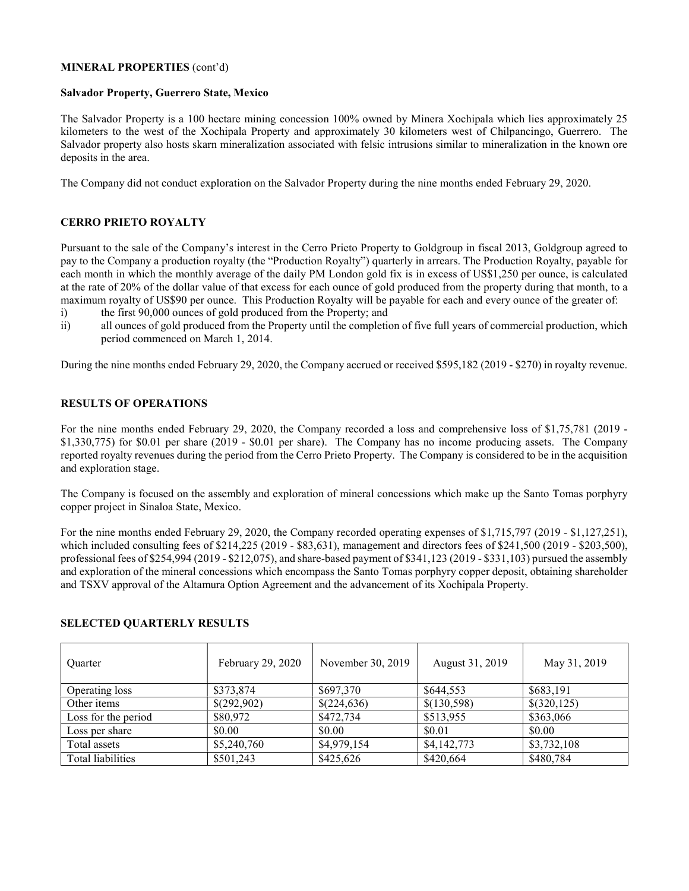### MINERAL PROPERTIES (cont'd)

#### Salvador Property, Guerrero State, Mexico

The Salvador Property is a 100 hectare mining concession 100% owned by Minera Xochipala which lies approximately 25 kilometers to the west of the Xochipala Property and approximately 30 kilometers west of Chilpancingo, Guerrero. The Salvador property also hosts skarn mineralization associated with felsic intrusions similar to mineralization in the known ore deposits in the area.

The Company did not conduct exploration on the Salvador Property during the nine months ended February 29, 2020.

# CERRO PRIETO ROYALTY

Pursuant to the sale of the Company's interest in the Cerro Prieto Property to Goldgroup in fiscal 2013, Goldgroup agreed to pay to the Company a production royalty (the "Production Royalty") quarterly in arrears. The Production Royalty, payable for each month in which the monthly average of the daily PM London gold fix is in excess of US\$1,250 per ounce, is calculated at the rate of 20% of the dollar value of that excess for each ounce of gold produced from the property during that month, to a maximum royalty of US\$90 per ounce. This Production Royalty will be payable for each and every ounce of the greater of:

- i) the first 90,000 ounces of gold produced from the Property; and
- ii) all ounces of gold produced from the Property until the completion of five full years of commercial production, which period commenced on March 1, 2014.

During the nine months ended February 29, 2020, the Company accrued or received \$595,182 (2019 - \$270) in royalty revenue.

### RESULTS OF OPERATIONS

For the nine months ended February 29, 2020, the Company recorded a loss and comprehensive loss of \$1,75,781 (2019 - \$1,330,775) for \$0.01 per share (2019 - \$0.01 per share). The Company has no income producing assets. The Company reported royalty revenues during the period from the Cerro Prieto Property. The Company is considered to be in the acquisition and exploration stage.

The Company is focused on the assembly and exploration of mineral concessions which make up the Santo Tomas porphyry copper project in Sinaloa State, Mexico.

For the nine months ended February 29, 2020, the Company recorded operating expenses of \$1,715,797 (2019 - \$1,127,251), which included consulting fees of \$214,225 (2019 - \$83,631), management and directors fees of \$241,500 (2019 - \$203,500), professional fees of \$254,994 (2019 - \$212,075), and share-based payment of \$341,123 (2019 - \$331,103) pursued the assembly and exploration of the mineral concessions which encompass the Santo Tomas porphyry copper deposit, obtaining shareholder and TSXV approval of the Altamura Option Agreement and the advancement of its Xochipala Property.

| Ouarter             | February 29, 2020 | November 30, 2019 | August 31, 2019 | May 31, 2019 |
|---------------------|-------------------|-------------------|-----------------|--------------|
| Operating loss      | \$373,874         | \$697,370         | \$644,553       | \$683,191    |
| Other items         | \$(292,902)       | \$(224,636)       | \$(130,598)     | \$(320,125)  |
| Loss for the period | \$80,972          | \$472,734         | \$513,955       | \$363,066    |
| Loss per share      | \$0.00            | \$0.00            | \$0.01          | \$0.00       |
| Total assets        | \$5,240,760       | \$4,979,154       | \$4,142,773     | \$3,732,108  |
| Total liabilities   | \$501,243         | \$425,626         | \$420,664       | \$480,784    |

#### SELECTED QUARTERLY RESULTS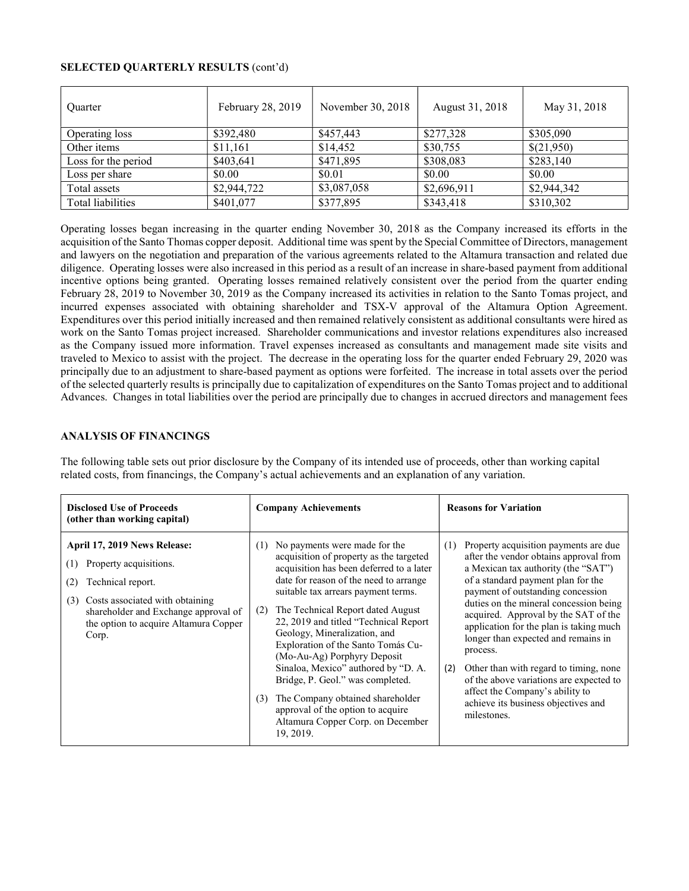### SELECTED QUARTERLY RESULTS (cont'd)

| Ouarter             | February 28, 2019 | November 30, 2018 | August 31, 2018 | May 31, 2018 |
|---------------------|-------------------|-------------------|-----------------|--------------|
| Operating loss      | \$392,480         | \$457,443         | \$277,328       | \$305,090    |
| Other items         | \$11,161          | \$14,452          | \$30,755        | \$(21,950)   |
| Loss for the period | \$403,641         | \$471,895         | \$308,083       | \$283,140    |
| Loss per share      | \$0.00            | \$0.01            | \$0.00          | \$0.00       |
| Total assets        | \$2,944,722       | \$3,087,058       | \$2,696,911     | \$2,944,342  |
| Total liabilities   | \$401,077         | \$377,895         | \$343,418       | \$310,302    |

Operating losses began increasing in the quarter ending November 30, 2018 as the Company increased its efforts in the acquisition of the Santo Thomas copper deposit. Additional time was spent by the Special Committee of Directors, management and lawyers on the negotiation and preparation of the various agreements related to the Altamura transaction and related due diligence. Operating losses were also increased in this period as a result of an increase in share-based payment from additional incentive options being granted. Operating losses remained relatively consistent over the period from the quarter ending February 28, 2019 to November 30, 2019 as the Company increased its activities in relation to the Santo Tomas project, and incurred expenses associated with obtaining shareholder and TSX-V approval of the Altamura Option Agreement. Expenditures over this period initially increased and then remained relatively consistent as additional consultants were hired as work on the Santo Tomas project increased. Shareholder communications and investor relations expenditures also increased as the Company issued more information. Travel expenses increased as consultants and management made site visits and traveled to Mexico to assist with the project. The decrease in the operating loss for the quarter ended February 29, 2020 was principally due to an adjustment to share-based payment as options were forfeited. The increase in total assets over the period of the selected quarterly results is principally due to capitalization of expenditures on the Santo Tomas project and to additional Advances. Changes in total liabilities over the period are principally due to changes in accrued directors and management fees

# ANALYSIS OF FINANCINGS

The following table sets out prior disclosure by the Company of its intended use of proceeds, other than working capital related costs, from financings, the Company's actual achievements and an explanation of any variation.

| <b>Disclosed Use of Proceeds</b><br>(other than working capital)                                                                                                                                                              | <b>Company Achievements</b>                                                                                                                                                                                                                                                                                                                                                                                                                                                                                                                                                                                          | <b>Reasons for Variation</b>                                                                                                                                                                                                                                                                                                                                                                                                                                                                                                                                                  |
|-------------------------------------------------------------------------------------------------------------------------------------------------------------------------------------------------------------------------------|----------------------------------------------------------------------------------------------------------------------------------------------------------------------------------------------------------------------------------------------------------------------------------------------------------------------------------------------------------------------------------------------------------------------------------------------------------------------------------------------------------------------------------------------------------------------------------------------------------------------|-------------------------------------------------------------------------------------------------------------------------------------------------------------------------------------------------------------------------------------------------------------------------------------------------------------------------------------------------------------------------------------------------------------------------------------------------------------------------------------------------------------------------------------------------------------------------------|
| April 17, 2019 News Release:<br>Property acquisitions.<br>(1)<br>Technical report.<br>(2)<br>Costs associated with obtaining<br>(3)<br>shareholder and Exchange approval of<br>the option to acquire Altamura Copper<br>Corp. | No payments were made for the<br>(1)<br>acquisition of property as the targeted<br>acquisition has been deferred to a later<br>date for reason of the need to arrange<br>suitable tax arrears payment terms.<br>The Technical Report dated August<br>(2)<br>22, 2019 and titled "Technical Report"<br>Geology, Mineralization, and<br>Exploration of the Santo Tomás Cu-<br>(Mo-Au-Ag) Porphyry Deposit<br>Sinaloa, Mexico" authored by "D. A.<br>Bridge, P. Geol." was completed.<br>The Company obtained shareholder<br>(3)<br>approval of the option to acquire<br>Altamura Copper Corp. on December<br>19, 2019. | Property acquisition payments are due<br>(1)<br>after the vendor obtains approval from<br>a Mexican tax authority (the "SAT")<br>of a standard payment plan for the<br>payment of outstanding concession<br>duties on the mineral concession being<br>acquired. Approval by the SAT of the<br>application for the plan is taking much<br>longer than expected and remains in<br>process.<br>Other than with regard to timing, none<br>(2)<br>of the above variations are expected to<br>affect the Company's ability to<br>achieve its business objectives and<br>milestones. |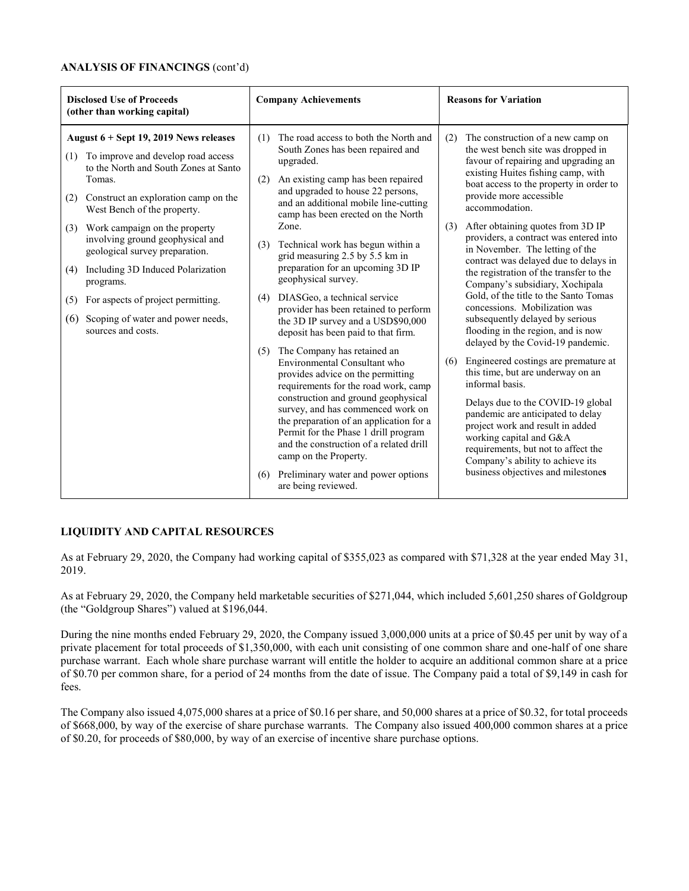### ANALYSIS OF FINANCINGS (cont'd)

| <b>Disclosed Use of Proceeds</b><br>(other than working capital)                                                                                                                                                                                                                                                                                                                                                                                                                                          | <b>Company Achievements</b>                                                                                                                                                                                                                                                                                                                                                                                                                                                                                                                                                                                                                                                                                                                                                                                                                                                                                                                                                                                                                 | <b>Reasons for Variation</b>                                                                                                                                                                                                                                                                                                                                                                                                                                                                                                                                                                                                                                                                                                                                                                                                                                                                                                                                                                                                                                  |  |
|-----------------------------------------------------------------------------------------------------------------------------------------------------------------------------------------------------------------------------------------------------------------------------------------------------------------------------------------------------------------------------------------------------------------------------------------------------------------------------------------------------------|---------------------------------------------------------------------------------------------------------------------------------------------------------------------------------------------------------------------------------------------------------------------------------------------------------------------------------------------------------------------------------------------------------------------------------------------------------------------------------------------------------------------------------------------------------------------------------------------------------------------------------------------------------------------------------------------------------------------------------------------------------------------------------------------------------------------------------------------------------------------------------------------------------------------------------------------------------------------------------------------------------------------------------------------|---------------------------------------------------------------------------------------------------------------------------------------------------------------------------------------------------------------------------------------------------------------------------------------------------------------------------------------------------------------------------------------------------------------------------------------------------------------------------------------------------------------------------------------------------------------------------------------------------------------------------------------------------------------------------------------------------------------------------------------------------------------------------------------------------------------------------------------------------------------------------------------------------------------------------------------------------------------------------------------------------------------------------------------------------------------|--|
| August $6 +$ Sept 19, 2019 News releases<br>To improve and develop road access<br>(1)<br>to the North and South Zones at Santo<br>Tomas.<br>(2) Construct an exploration camp on the<br>West Bench of the property.<br>Work campaign on the property<br>(3)<br>involving ground geophysical and<br>geological survey preparation.<br>Including 3D Induced Polarization<br>(4)<br>programs.<br>For aspects of project permitting.<br>(5)<br>Scoping of water and power needs,<br>(6)<br>sources and costs. | The road access to both the North and<br>(1)<br>South Zones has been repaired and<br>upgraded.<br>An existing camp has been repaired<br>(2)<br>and upgraded to house 22 persons,<br>and an additional mobile line-cutting<br>camp has been erected on the North<br>Zone.<br>Technical work has begun within a<br>(3)<br>grid measuring 2.5 by 5.5 km in<br>preparation for an upcoming 3D IP<br>geophysical survey.<br>DIASGeo, a technical service<br>(4)<br>provider has been retained to perform<br>the 3D IP survey and a USD\$90,000<br>deposit has been paid to that firm.<br>The Company has retained an<br>(5)<br>Environmental Consultant who<br>provides advice on the permitting<br>requirements for the road work, camp<br>construction and ground geophysical<br>survey, and has commenced work on<br>the preparation of an application for a<br>Permit for the Phase 1 drill program<br>and the construction of a related drill<br>camp on the Property.<br>Preliminary water and power options<br>(6)<br>are being reviewed. | The construction of a new camp on<br>(2)<br>the west bench site was dropped in<br>favour of repairing and upgrading an<br>existing Huites fishing camp, with<br>boat access to the property in order to<br>provide more accessible<br>accommodation.<br>After obtaining quotes from 3D IP<br>(3)<br>providers, a contract was entered into<br>in November. The letting of the<br>contract was delayed due to delays in<br>the registration of the transfer to the<br>Company's subsidiary, Xochipala<br>Gold, of the title to the Santo Tomas<br>concessions. Mobilization was<br>subsequently delayed by serious<br>flooding in the region, and is now<br>delayed by the Covid-19 pandemic.<br>Engineered costings are premature at<br>(6)<br>this time, but are underway on an<br>informal basis.<br>Delays due to the COVID-19 global<br>pandemic are anticipated to delay<br>project work and result in added<br>working capital and G&A<br>requirements, but not to affect the<br>Company's ability to achieve its<br>business objectives and milestones |  |

# LIQUIDITY AND CAPITAL RESOURCES

As at February 29, 2020, the Company had working capital of \$355,023 as compared with \$71,328 at the year ended May 31, 2019.

As at February 29, 2020, the Company held marketable securities of \$271,044, which included 5,601,250 shares of Goldgroup (the "Goldgroup Shares") valued at \$196,044.

During the nine months ended February 29, 2020, the Company issued 3,000,000 units at a price of \$0.45 per unit by way of a private placement for total proceeds of \$1,350,000, with each unit consisting of one common share and one-half of one share purchase warrant. Each whole share purchase warrant will entitle the holder to acquire an additional common share at a price of \$0.70 per common share, for a period of 24 months from the date of issue. The Company paid a total of \$9,149 in cash for fees.

The Company also issued 4,075,000 shares at a price of \$0.16 per share, and 50,000 shares at a price of \$0.32, for total proceeds of \$668,000, by way of the exercise of share purchase warrants. The Company also issued 400,000 common shares at a price of \$0.20, for proceeds of \$80,000, by way of an exercise of incentive share purchase options.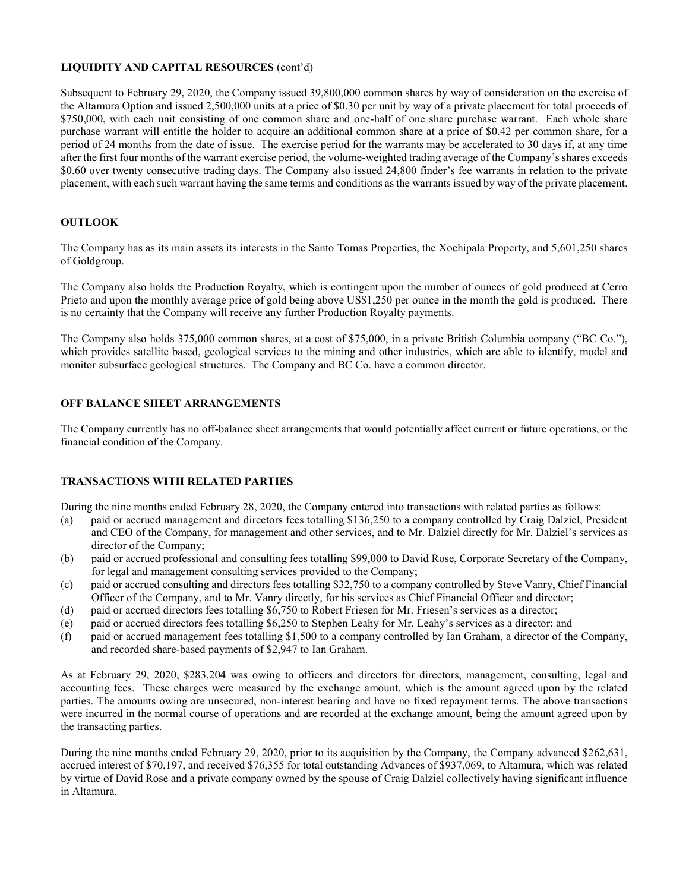# LIQUIDITY AND CAPITAL RESOURCES (cont'd)

Subsequent to February 29, 2020, the Company issued 39,800,000 common shares by way of consideration on the exercise of the Altamura Option and issued 2,500,000 units at a price of \$0.30 per unit by way of a private placement for total proceeds of \$750,000, with each unit consisting of one common share and one-half of one share purchase warrant. Each whole share purchase warrant will entitle the holder to acquire an additional common share at a price of \$0.42 per common share, for a period of 24 months from the date of issue. The exercise period for the warrants may be accelerated to 30 days if, at any time after the first four months of the warrant exercise period, the volume-weighted trading average of the Company's shares exceeds \$0.60 over twenty consecutive trading days. The Company also issued 24,800 finder's fee warrants in relation to the private placement, with each such warrant having the same terms and conditions as the warrants issued by way of the private placement.

# **OUTLOOK**

The Company has as its main assets its interests in the Santo Tomas Properties, the Xochipala Property, and 5,601,250 shares of Goldgroup.

The Company also holds the Production Royalty, which is contingent upon the number of ounces of gold produced at Cerro Prieto and upon the monthly average price of gold being above US\$1,250 per ounce in the month the gold is produced. There is no certainty that the Company will receive any further Production Royalty payments.

The Company also holds 375,000 common shares, at a cost of \$75,000, in a private British Columbia company ("BC Co."), which provides satellite based, geological services to the mining and other industries, which are able to identify, model and monitor subsurface geological structures. The Company and BC Co. have a common director.

# OFF BALANCE SHEET ARRANGEMENTS

The Company currently has no off-balance sheet arrangements that would potentially affect current or future operations, or the financial condition of the Company.

# TRANSACTIONS WITH RELATED PARTIES

During the nine months ended February 28, 2020, the Company entered into transactions with related parties as follows:

- (a) paid or accrued management and directors fees totalling \$136,250 to a company controlled by Craig Dalziel, President and CEO of the Company, for management and other services, and to Mr. Dalziel directly for Mr. Dalziel's services as director of the Company;
- (b) paid or accrued professional and consulting fees totalling \$99,000 to David Rose, Corporate Secretary of the Company, for legal and management consulting services provided to the Company;
- (c) paid or accrued consulting and directors fees totalling \$32,750 to a company controlled by Steve Vanry, Chief Financial Officer of the Company, and to Mr. Vanry directly, for his services as Chief Financial Officer and director;
- (d) paid or accrued directors fees totalling \$6,750 to Robert Friesen for Mr. Friesen's services as a director;
- (e) paid or accrued directors fees totalling \$6,250 to Stephen Leahy for Mr. Leahy's services as a director; and
- (f) paid or accrued management fees totalling \$1,500 to a company controlled by Ian Graham, a director of the Company, and recorded share-based payments of \$2,947 to Ian Graham.

As at February 29, 2020, \$283,204 was owing to officers and directors for directors, management, consulting, legal and accounting fees. These charges were measured by the exchange amount, which is the amount agreed upon by the related parties. The amounts owing are unsecured, non-interest bearing and have no fixed repayment terms. The above transactions were incurred in the normal course of operations and are recorded at the exchange amount, being the amount agreed upon by the transacting parties.

During the nine months ended February 29, 2020, prior to its acquisition by the Company, the Company advanced \$262,631, accrued interest of \$70,197, and received \$76,355 for total outstanding Advances of \$937,069, to Altamura, which was related by virtue of David Rose and a private company owned by the spouse of Craig Dalziel collectively having significant influence in Altamura.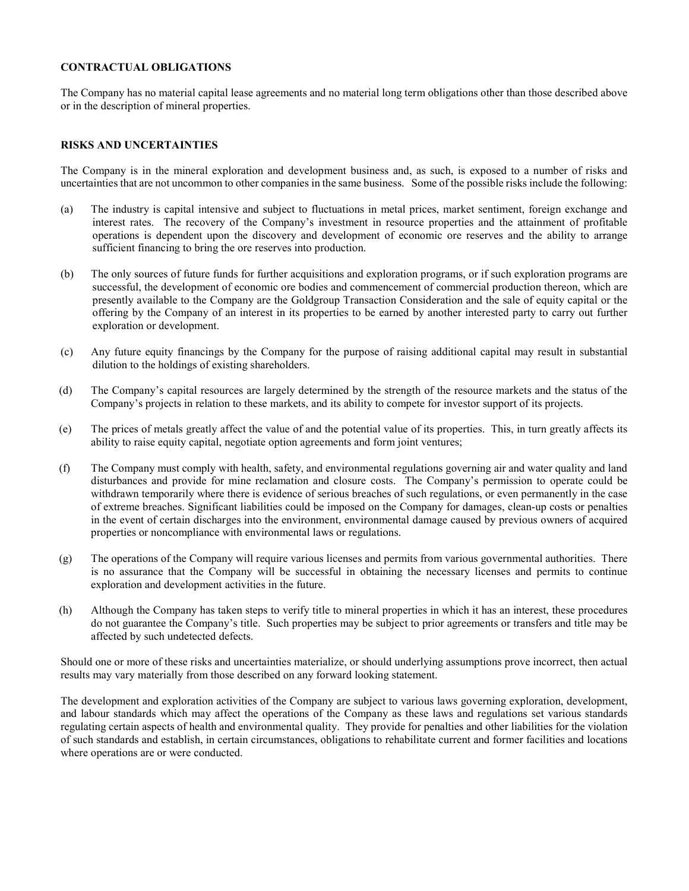### CONTRACTUAL OBLIGATIONS

The Company has no material capital lease agreements and no material long term obligations other than those described above or in the description of mineral properties.

### RISKS AND UNCERTAINTIES

The Company is in the mineral exploration and development business and, as such, is exposed to a number of risks and uncertainties that are not uncommon to other companies in the same business. Some of the possible risks include the following:

- (a) The industry is capital intensive and subject to fluctuations in metal prices, market sentiment, foreign exchange and interest rates. The recovery of the Company's investment in resource properties and the attainment of profitable operations is dependent upon the discovery and development of economic ore reserves and the ability to arrange sufficient financing to bring the ore reserves into production.
- (b) The only sources of future funds for further acquisitions and exploration programs, or if such exploration programs are successful, the development of economic ore bodies and commencement of commercial production thereon, which are presently available to the Company are the Goldgroup Transaction Consideration and the sale of equity capital or the offering by the Company of an interest in its properties to be earned by another interested party to carry out further exploration or development.
- (c) Any future equity financings by the Company for the purpose of raising additional capital may result in substantial dilution to the holdings of existing shareholders.
- (d) The Company's capital resources are largely determined by the strength of the resource markets and the status of the Company's projects in relation to these markets, and its ability to compete for investor support of its projects.
- (e) The prices of metals greatly affect the value of and the potential value of its properties. This, in turn greatly affects its ability to raise equity capital, negotiate option agreements and form joint ventures;
- (f) The Company must comply with health, safety, and environmental regulations governing air and water quality and land disturbances and provide for mine reclamation and closure costs. The Company's permission to operate could be withdrawn temporarily where there is evidence of serious breaches of such regulations, or even permanently in the case of extreme breaches. Significant liabilities could be imposed on the Company for damages, clean-up costs or penalties in the event of certain discharges into the environment, environmental damage caused by previous owners of acquired properties or noncompliance with environmental laws or regulations.
- (g) The operations of the Company will require various licenses and permits from various governmental authorities. There is no assurance that the Company will be successful in obtaining the necessary licenses and permits to continue exploration and development activities in the future.
- (h) Although the Company has taken steps to verify title to mineral properties in which it has an interest, these procedures do not guarantee the Company's title. Such properties may be subject to prior agreements or transfers and title may be affected by such undetected defects.

Should one or more of these risks and uncertainties materialize, or should underlying assumptions prove incorrect, then actual results may vary materially from those described on any forward looking statement.

The development and exploration activities of the Company are subject to various laws governing exploration, development, and labour standards which may affect the operations of the Company as these laws and regulations set various standards regulating certain aspects of health and environmental quality. They provide for penalties and other liabilities for the violation of such standards and establish, in certain circumstances, obligations to rehabilitate current and former facilities and locations where operations are or were conducted.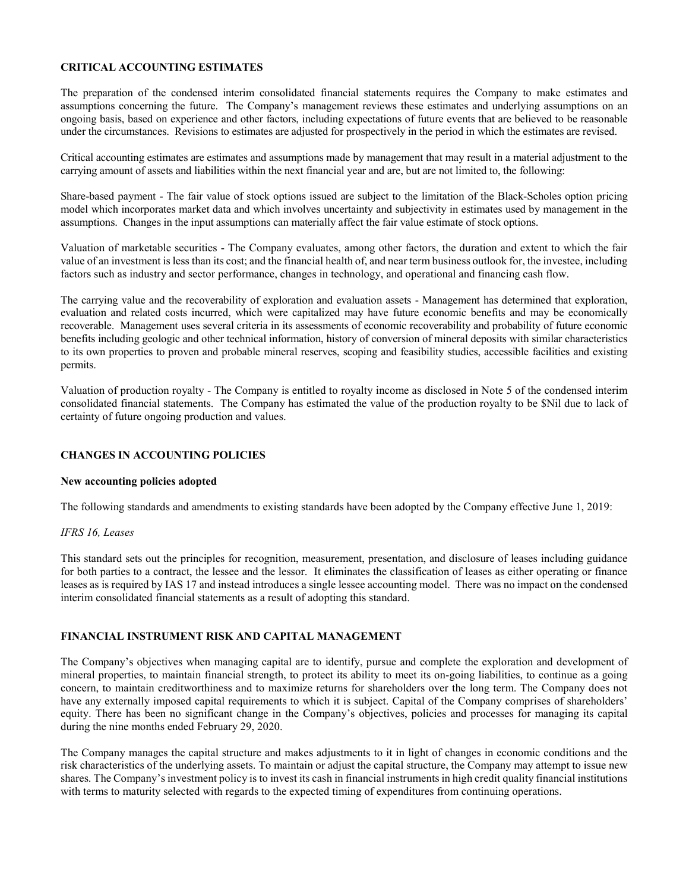### CRITICAL ACCOUNTING ESTIMATES

The preparation of the condensed interim consolidated financial statements requires the Company to make estimates and assumptions concerning the future. The Company's management reviews these estimates and underlying assumptions on an ongoing basis, based on experience and other factors, including expectations of future events that are believed to be reasonable under the circumstances. Revisions to estimates are adjusted for prospectively in the period in which the estimates are revised.

Critical accounting estimates are estimates and assumptions made by management that may result in a material adjustment to the carrying amount of assets and liabilities within the next financial year and are, but are not limited to, the following:

Share-based payment - The fair value of stock options issued are subject to the limitation of the Black-Scholes option pricing model which incorporates market data and which involves uncertainty and subjectivity in estimates used by management in the assumptions. Changes in the input assumptions can materially affect the fair value estimate of stock options.

Valuation of marketable securities - The Company evaluates, among other factors, the duration and extent to which the fair value of an investment is less than its cost; and the financial health of, and near term business outlook for, the investee, including factors such as industry and sector performance, changes in technology, and operational and financing cash flow.

The carrying value and the recoverability of exploration and evaluation assets - Management has determined that exploration, evaluation and related costs incurred, which were capitalized may have future economic benefits and may be economically recoverable. Management uses several criteria in its assessments of economic recoverability and probability of future economic benefits including geologic and other technical information, history of conversion of mineral deposits with similar characteristics to its own properties to proven and probable mineral reserves, scoping and feasibility studies, accessible facilities and existing permits.

Valuation of production royalty - The Company is entitled to royalty income as disclosed in Note 5 of the condensed interim consolidated financial statements. The Company has estimated the value of the production royalty to be \$Nil due to lack of certainty of future ongoing production and values.

# CHANGES IN ACCOUNTING POLICIES

#### New accounting policies adopted

The following standards and amendments to existing standards have been adopted by the Company effective June 1, 2019:

# IFRS 16, Leases

This standard sets out the principles for recognition, measurement, presentation, and disclosure of leases including guidance for both parties to a contract, the lessee and the lessor. It eliminates the classification of leases as either operating or finance leases as is required by IAS 17 and instead introduces a single lessee accounting model. There was no impact on the condensed interim consolidated financial statements as a result of adopting this standard.

# FINANCIAL INSTRUMENT RISK AND CAPITAL MANAGEMENT

The Company's objectives when managing capital are to identify, pursue and complete the exploration and development of mineral properties, to maintain financial strength, to protect its ability to meet its on-going liabilities, to continue as a going concern, to maintain creditworthiness and to maximize returns for shareholders over the long term. The Company does not have any externally imposed capital requirements to which it is subject. Capital of the Company comprises of shareholders' equity. There has been no significant change in the Company's objectives, policies and processes for managing its capital during the nine months ended February 29, 2020.

The Company manages the capital structure and makes adjustments to it in light of changes in economic conditions and the risk characteristics of the underlying assets. To maintain or adjust the capital structure, the Company may attempt to issue new shares. The Company's investment policy is to invest its cash in financial instruments in high credit quality financial institutions with terms to maturity selected with regards to the expected timing of expenditures from continuing operations.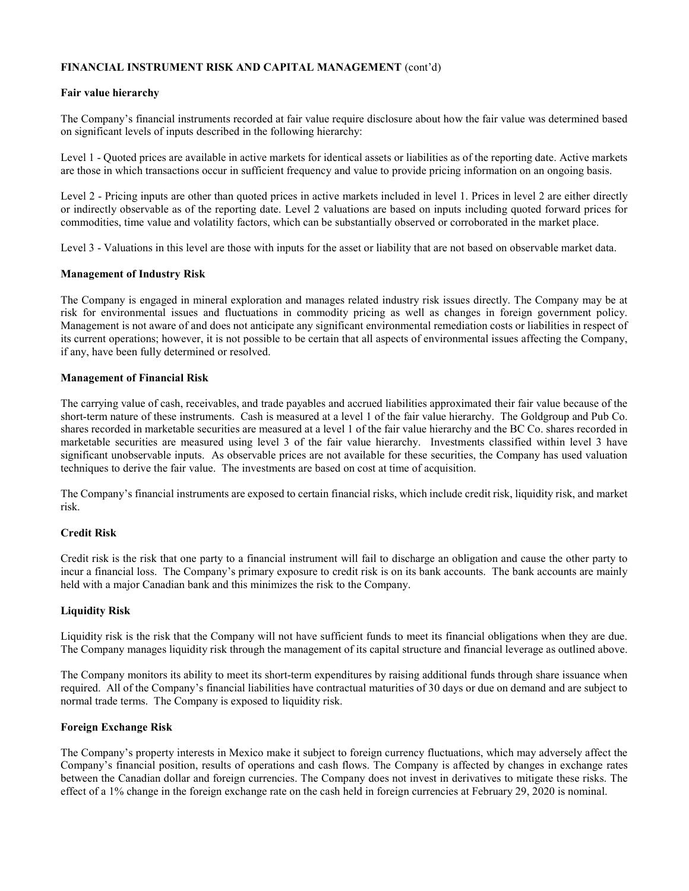# FINANCIAL INSTRUMENT RISK AND CAPITAL MANAGEMENT (cont'd)

### Fair value hierarchy

The Company's financial instruments recorded at fair value require disclosure about how the fair value was determined based on significant levels of inputs described in the following hierarchy:

Level 1 - Quoted prices are available in active markets for identical assets or liabilities as of the reporting date. Active markets are those in which transactions occur in sufficient frequency and value to provide pricing information on an ongoing basis.

Level 2 - Pricing inputs are other than quoted prices in active markets included in level 1. Prices in level 2 are either directly or indirectly observable as of the reporting date. Level 2 valuations are based on inputs including quoted forward prices for commodities, time value and volatility factors, which can be substantially observed or corroborated in the market place.

Level 3 - Valuations in this level are those with inputs for the asset or liability that are not based on observable market data.

### Management of Industry Risk

The Company is engaged in mineral exploration and manages related industry risk issues directly. The Company may be at risk for environmental issues and fluctuations in commodity pricing as well as changes in foreign government policy. Management is not aware of and does not anticipate any significant environmental remediation costs or liabilities in respect of its current operations; however, it is not possible to be certain that all aspects of environmental issues affecting the Company, if any, have been fully determined or resolved.

### Management of Financial Risk

The carrying value of cash, receivables, and trade payables and accrued liabilities approximated their fair value because of the short-term nature of these instruments. Cash is measured at a level 1 of the fair value hierarchy. The Goldgroup and Pub Co. shares recorded in marketable securities are measured at a level 1 of the fair value hierarchy and the BC Co. shares recorded in marketable securities are measured using level 3 of the fair value hierarchy. Investments classified within level 3 have significant unobservable inputs. As observable prices are not available for these securities, the Company has used valuation techniques to derive the fair value. The investments are based on cost at time of acquisition.

The Company's financial instruments are exposed to certain financial risks, which include credit risk, liquidity risk, and market risk.

# Credit Risk

Credit risk is the risk that one party to a financial instrument will fail to discharge an obligation and cause the other party to incur a financial loss. The Company's primary exposure to credit risk is on its bank accounts. The bank accounts are mainly held with a major Canadian bank and this minimizes the risk to the Company.

#### Liquidity Risk

Liquidity risk is the risk that the Company will not have sufficient funds to meet its financial obligations when they are due. The Company manages liquidity risk through the management of its capital structure and financial leverage as outlined above.

The Company monitors its ability to meet its short-term expenditures by raising additional funds through share issuance when required. All of the Company's financial liabilities have contractual maturities of 30 days or due on demand and are subject to normal trade terms. The Company is exposed to liquidity risk.

#### Foreign Exchange Risk

The Company's property interests in Mexico make it subject to foreign currency fluctuations, which may adversely affect the Company's financial position, results of operations and cash flows. The Company is affected by changes in exchange rates between the Canadian dollar and foreign currencies. The Company does not invest in derivatives to mitigate these risks. The effect of a 1% change in the foreign exchange rate on the cash held in foreign currencies at February 29, 2020 is nominal.